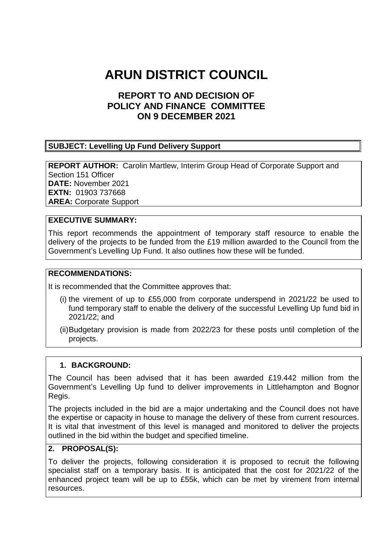# **ARUN DISTRICT COUNCIL**

## **REPORT TO AND DECISION OF POLICY AND FINANCE COMMITTEE ON 9 DECEMBER 2021**

#### **SUBJECT: Levelling Up Fund Delivery Support**

**REPORT AUTHOR:** Carolin Martlew, Interim Group Head of Corporate Support and Section 151 Officer **DATE:** November 2021 **EXTN:** 01903 737668 **AREA:** Corporate Support

#### **EXECUTIVE SUMMARY:**

This report recommends the appointment of temporary staff resource to enable the delivery of the projects to be funded from the £19 million awarded to the Council from the Government's Levelling Up Fund. It also outlines how these will be funded.

#### **RECOMMENDATIONS:**

It is recommended that the Committee approves that:

- (i) the virement of up to £55,000 from corporate underspend in 2021/22 be used to fund temporary staff to enable the delivery of the successful Levelling Up fund bid in 2021/22; and
- (ii)Budgetary provision is made from 2022/23 for these posts until completion of the projects.

#### **1. BACKGROUND:**

The Council has been advised that it has been awarded £19.442 million from the Government's Levelling Up fund to deliver improvements in Littlehampton and Bognor Regis.

The projects included in the bid are a major undertaking and the Council does not have the expertise or capacity in house to manage the delivery of these from current resources. It is vital that investment of this level is managed and monitored to deliver the projects outlined in the bid within the budget and specified timeline.

#### **2. PROPOSAL(S):**

To deliver the projects, following consideration it is proposed to recruit the following specialist staff on a temporary basis. It is anticipated that the cost for 2021/22 of the enhanced project team will be up to £55k, which can be met by virement from internal resources.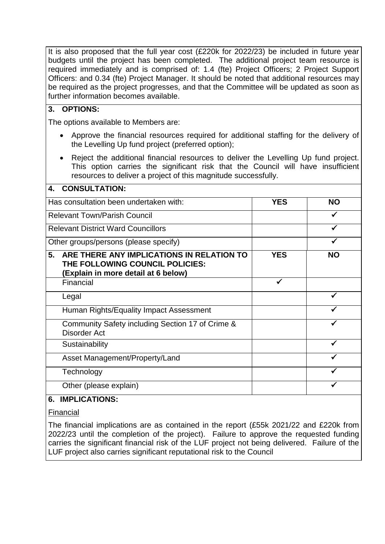It is also proposed that the full year cost (£220k for 2022/23) be included in future year budgets until the project has been completed. The additional project team resource is required immediately and is comprised of: 1.4 (fte) Project Officers; 2 Project Support Officers: and 0.34 (fte) Project Manager. It should be noted that additional resources may be required as the project progresses, and that the Committee will be updated as soon as further information becomes available.

### **3. OPTIONS:**

The options available to Members are:

- Approve the financial resources required for additional staffing for the delivery of the Levelling Up fund project (preferred option);
- Reject the additional financial resources to deliver the Levelling Up fund project. This option carries the significant risk that the Council will have insufficient resources to deliver a project of this magnitude successfully.

| <b>CONSULTATION:</b><br>4.                                                                                                |            |           |
|---------------------------------------------------------------------------------------------------------------------------|------------|-----------|
| Has consultation been undertaken with:                                                                                    | <b>YES</b> | <b>NO</b> |
| <b>Relevant Town/Parish Council</b>                                                                                       |            |           |
| <b>Relevant District Ward Councillors</b>                                                                                 |            |           |
| Other groups/persons (please specify)                                                                                     |            |           |
| 5.<br>ARE THERE ANY IMPLICATIONS IN RELATION TO<br>THE FOLLOWING COUNCIL POLICIES:<br>(Explain in more detail at 6 below) | <b>YES</b> | <b>NO</b> |
| Financial                                                                                                                 |            |           |
| Legal                                                                                                                     |            |           |
| Human Rights/Equality Impact Assessment                                                                                   |            |           |
| Community Safety including Section 17 of Crime &<br>Disorder Act                                                          |            |           |
| Sustainability                                                                                                            |            |           |
| Asset Management/Property/Land                                                                                            |            |           |
| Technology                                                                                                                |            |           |
| Other (please explain)                                                                                                    |            |           |

#### **6. IMPLICATIONS:**

Financial

The financial implications are as contained in the report (£55k 2021/22 and £220k from 2022/23 until the completion of the project). Failure to approve the requested funding carries the significant financial risk of the LUF project not being delivered. Failure of the LUF project also carries significant reputational risk to the Council